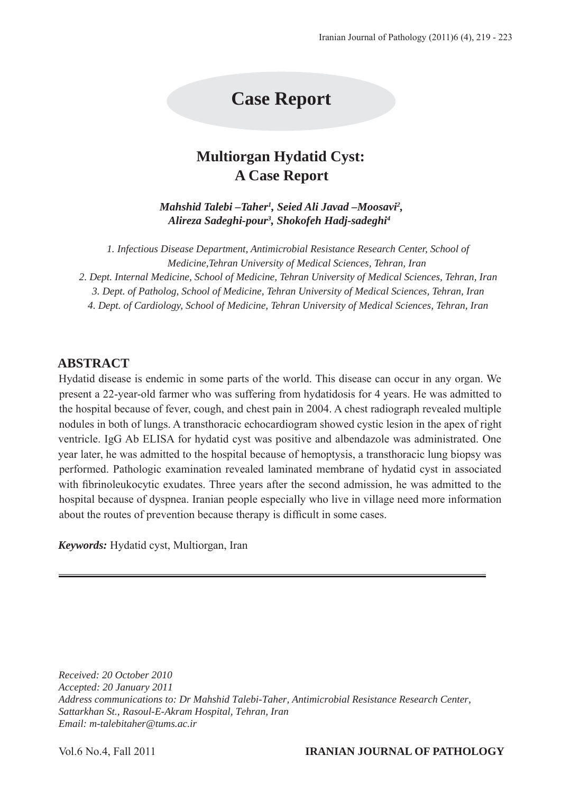# **Case Report**

## **Multiorgan Hydatid Cyst: A Case Report**

*Mahshid Talebi –Taher<sup>1</sup>, Seied Ali Javad –Moosavi<sup>2</sup>, Alireza Sadeghi-pour3 , Shokofeh Hadj-sadeghi4*

*1. Infectious Disease Department, Antimicrobial Resistance Research Center, School of Medicine,Tehran University of Medical Sciences, Tehran, Iran* 

*2. Dept. Internal Medicine, School of Medicine, Tehran University of Medical Sciences, Tehran, Iran 3. Dept. of Patholog, School of Medicine, Tehran University of Medical Sciences, Tehran, Iran* 

*4. Dept. of Cardiology, School of Medicine, Tehran University of Medical Sciences, Tehran, Iran* 

### **ABSTRACT**

Hydatid disease is endemic in some parts of the world. This disease can occur in any organ. We present a 22-year-old farmer who was suffering from hydatidosis for 4 years. He was admitted to the hospital because of fever, cough, and chest pain in 2004. A chest radiograph revealed multiple nodules in both of lungs. A transthoracic echocardiogram showed cystic lesion in the apex of right ventricle. IgG Ab ELISA for hydatid cyst was positive and albendazole was administrated. One year later, he was admitted to the hospital because of hemoptysis, a transthoracic lung biopsy was performed. Pathologic examination revealed laminated membrane of hydatid cyst in associated with fibrinoleukocytic exudates. Three years after the second admission, he was admitted to the hospital because of dyspnea. Iranian people especially who live in village need more information about the routes of prevention because therapy is difficult in some cases.

*Keywords:* Hydatid cyst, Multiorgan, Iran

*Received: 20 October 2010 Accepted: 20 January 2011 Address communications to: Dr Mahshid Talebi-Taher, Antimicrobial Resistance Research Center, Sattarkhan St., Rasoul-E-Akram Hospital, Tehran, Iran Email: m-talebitaher@tums.ac.ir*

#### Vol.6 No.4, Fall 2011 **IRANIAN JOURNAL OF PATHOLOGY**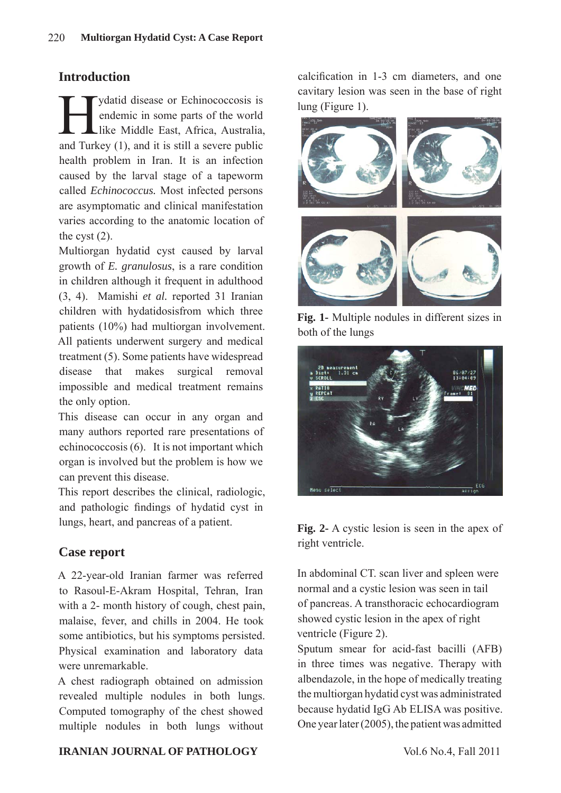## **Introduction**

ydatid disease or Echinococcosis is<br>endemic in some parts of the world<br>like Middle East, Africa, Australia, endemic in some parts of the world like Middle East, Africa, Australia, and Turkey (1), and it is still a severe public health problem in Iran. It is an infection caused by the larval stage of a tapeworm called *Echinococcus.* Most infected persons are asymptomatic and clinical manifestation varies according to the anatomic location of the cyst  $(2)$ .

Multiorgan hydatid cyst caused by larval growth of *E. granulosus*, is a rare condition in children although it frequent in adulthood (3, 4). Mamishi *et al.* reported 31 Iranian children with hydatidosisfrom which three patients (10%) had multiorgan involvement. All patients underwent surgery and medical treatment (5). Some patients have widespread disease that makes surgical removal impossible and medical treatment remains the only option.

This disease can occur in any organ and many authors reported rare presentations of echinococcosis (6). It is not important which organ is involved but the problem is how we can prevent this disease.

This report describes the clinical, radiologic, and pathologic findings of hydatid cyst in lungs, heart, and pancreas of a patient.

## **Case report**

A 22-year-old Iranian farmer was referred to Rasoul-E-Akram Hospital, Tehran, Iran with a 2- month history of cough, chest pain, malaise, fever, and chills in 2004. He took some antibiotics, but his symptoms persisted. Physical examination and laboratory data were unremarkable.

A chest radiograph obtained on admission revealed multiple nodules in both lungs. Computed tomography of the chest showed multiple nodules in both lungs without

calcification in 1-3 cm diameters, and one cavitary lesion was seen in the base of right lung (Figure 1).



**Fig. 1-** Multiple nodules in different sizes in both of the lungs



**Fig. 2-** A cystic lesion is seen in the apex of right ventricle.

In abdominal CT. scan liver and spleen were normal and a cystic lesion was seen in tail of pancreas. A transthoracic echocardiogram showed cystic lesion in the apex of right ventricle (Figure 2).

Sputum smear for acid-fast bacilli (AFB) in three times was negative. Therapy with albendazole, in the hope of medically treating the multiorgan hydatid cyst was administrated because hydatid IgG Ab ELISA was positive. One year later (2005), the patient was admitted

#### **IRANIAN JOURNAL OF PATHOLOGY** Vol.6 No.4, Fall 2011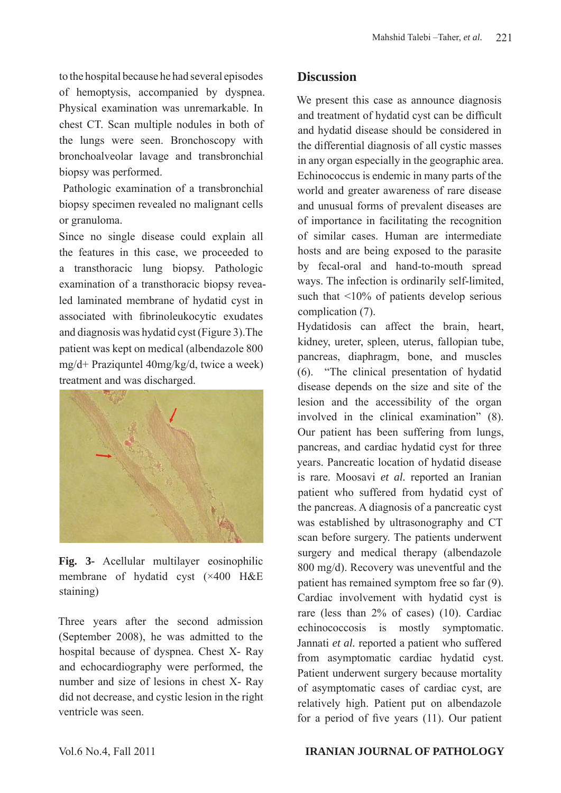to the hospital because he had several episodes of hemoptysis, accompanied by dyspnea. Physical examination was unremarkable. In chest CT. Scan multiple nodules in both of the lungs were seen. Bronchoscopy with bronchoalveolar lavage and transbronchial biopsy was performed.

 Pathologic examination of a transbronchial biopsy specimen revealed no malignant cells or granuloma.

Since no single disease could explain all the features in this case, we proceeded to a transthoracic lung biopsy. Pathologic examination of a transthoracic biopsy revealed laminated membrane of hydatid cyst in associated with fibrinoleukocytic exudates and diagnosis was hydatid cyst (Figure 3).The patient was kept on medical (albendazole 800 mg/d+ Praziquntel 40mg/kg/d, twice a week) treatment and was discharged.



**Fig. 3-** Acellular multilayer eosinophilic membrane of hydatid cyst (×400 H&E staining)

Three years after the second admission (September 2008), he was admitted to the hospital because of dyspnea. Chest X- Ray and echocardiography were performed, the number and size of lesions in chest X- Ray did not decrease, and cystic lesion in the right ventricle was seen.

## **Discussion**

We present this case as announce diagnosis and treatment of hydatid cyst can be difficult and hydatid disease should be considered in the differential diagnosis of all cystic masses in any organ especially in the geographic area. Echinococcus is endemic in many parts of the world and greater awareness of rare disease and unusual forms of prevalent diseases are of importance in facilitating the recognition of similar cases. Human are intermediate hosts and are being exposed to the parasite by fecal-oral and hand-to-mouth spread ways. The infection is ordinarily self-limited, such that <10% of patients develop serious complication (7).

Hydatidosis can affect the brain, heart, kidney, ureter, spleen, uterus, fallopian tube, pancreas, diaphragm, bone, and muscles (6). "The clinical presentation of hydatid disease depends on the size and site of the lesion and the accessibility of the organ involved in the clinical examination" (8). Our patient has been suffering from lungs, pancreas, and cardiac hydatid cyst for three years. Pancreatic location of hydatid disease is rare. Moosavi *et al.* reported an Iranian patient who suffered from hydatid cyst of the pancreas. A diagnosis of a pancreatic cyst was established by ultrasonography and CT scan before surgery. The patients underwent surgery and medical therapy (albendazole 800 mg/d). Recovery was uneventful and the patient has remained symptom free so far (9). Cardiac involvement with hydatid cyst is rare (less than 2% of cases) (10). Cardiac echinococcosis is mostly symptomatic. Jannati *et al.* reported a patient who suffered from asymptomatic cardiac hydatid cyst. Patient underwent surgery because mortality of asymptomatic cases of cardiac cyst, are relatively high. Patient put on albendazole for a period of five years (11). Our patient

#### Vol.6 No.4, Fall 2011 **IRANIAN JOURNAL OF PATHOLOGY**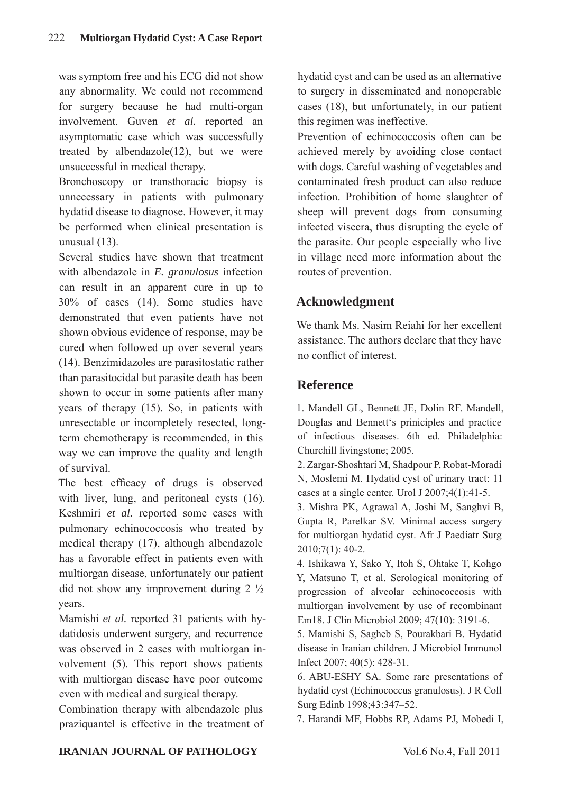was symptom free and his ECG did not show any abnormality. We could not recommend for surgery because he had multi-organ involvement. Guven *et al.* reported an asymptomatic case which was successfully treated by albendazole(12), but we were unsuccessful in medical therapy.

Bronchoscopy or transthoracic biopsy is unnecessary in patients with pulmonary hydatid disease to diagnose. However, it may be performed when clinical presentation is unusual (13).

Several studies have shown that treatment with albendazole in *E. granulosus* infection can result in an apparent cure in up to 30% of cases (14). Some studies have demonstrated that even patients have not shown obvious evidence of response, may be cured when followed up over several years (14). Benzimidazoles are parasitostatic rather than parasitocidal but parasite death has been shown to occur in some patients after many years of therapy (15). So, in patients with unresectable or incompletely resected, longterm chemotherapy is recommended, in this way we can improve the quality and length of survival.

The best efficacy of drugs is observed with liver, lung, and peritoneal cysts  $(16)$ . Keshmiri *et al.* reported some cases with pulmonary echinococcosis who treated by medical therapy (17), although albendazole has a favorable effect in patients even with multiorgan disease, unfortunately our patient did not show any improvement during  $2 \frac{1}{2}$ years.

Mamishi *et al.* reported 31 patients with hydatidosis underwent surgery, and recurrence was observed in 2 cases with multiorgan involvement (5). This report shows patients with multiorgan disease have poor outcome even with medical and surgical therapy.

Combination therapy with albendazole plus praziquantel is effective in the treatment of hydatid cyst and can be used as an alternative to surgery in disseminated and nonoperable cases (18), but unfortunately, in our patient this regimen was ineffective.

Prevention of echinococcosis often can be achieved merely by avoiding close contact with dogs. Careful washing of vegetables and contaminated fresh product can also reduce infection. Prohibition of home slaughter of sheep will prevent dogs from consuming infected viscera, thus disrupting the cycle of the parasite. Our people especially who live in village need more information about the routes of prevention.

## **Acknowledgment**

We thank Ms. Nasim Reiahi for her excellent assistance. The authors declare that they have no conflict of interest.

## **Reference**

1. Mandell GL, Bennett JE, Dolin RF. Mandell, Douglas and Bennett's priniciples and practice of infectious diseases. 6th ed. Philadelphia: Churchill livingstone; 2005.

2. Zargar-Shoshtari M, Shadpour P, Robat-Moradi N, Moslemi M. Hydatid cyst of urinary tract: 11 cases at a single center. Urol J 2007;4(1):41-5.

3. Mishra PK, Agrawal A, Joshi M, Sanghvi B, Gupta R, Parelkar SV. Minimal access surgery for multiorgan hydatid cyst. Afr J Paediatr Surg 2010;7(1): 40-2.

4. Ishikawa Y, Sako Y, Itoh S, Ohtake T, Kohgo Y, Matsuno T, et al. Serological monitoring of progression of alveolar echinococcosis with multiorgan involvement by use of recombinant Em18. J Clin Microbiol 2009; 47(10): 3191-6.

5. Mamishi S, Sagheb S, Pourakbari B. Hydatid disease in Iranian children. J Microbiol Immunol Infect 2007; 40(5): 428-31.

6. ABU-ESHY SA. Some rare presentations of hydatid cyst (Echinococcus granulosus). J R Coll Surg Edinb 1998;43:347–52.

7. Harandi MF, Hobbs RP, Adams PJ, Mobedi I,

#### **IRANIAN JOURNAL OF PATHOLOGY** Vol.6 No.4, Fall 2011